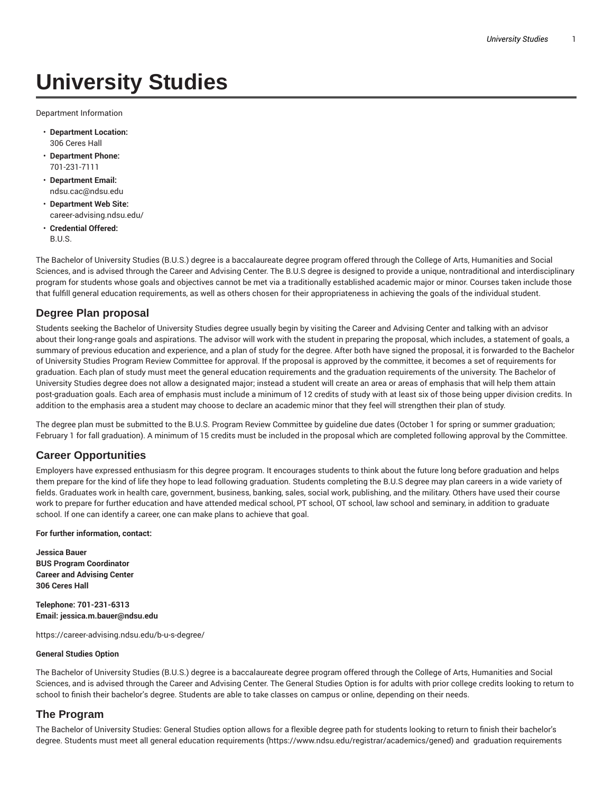# **University Studies**

Department Information

- **Department Location:** 306 Ceres Hall
- **Department Phone:** 701-231-7111
- **Department Email:** ndsu.cac@ndsu.edu
- **Department Web Site:** career-advising.ndsu.edu/
- **Credential Offered:** B.U.S.

The Bachelor of University Studies (B.U.S.) degree is a baccalaureate degree program offered through the College of Arts, Humanities and Social Sciences, and is advised through the Career and Advising Center. The B.U.S degree is designed to provide a unique, nontraditional and interdisciplinary program for students whose goals and objectives cannot be met via a traditionally established academic major or minor. Courses taken include those that fulfill general education requirements, as well as others chosen for their appropriateness in achieving the goals of the individual student.

# **Degree Plan proposal**

Students seeking the Bachelor of University Studies degree usually begin by visiting the Career and Advising Center and talking with an advisor about their long-range goals and aspirations. The advisor will work with the student in preparing the proposal, which includes, a statement of goals, a summary of previous education and experience, and a plan of study for the degree. After both have signed the proposal, it is forwarded to the Bachelor of University Studies Program Review Committee for approval. If the proposal is approved by the committee, it becomes a set of requirements for graduation. Each plan of study must meet the general education requirements and the graduation requirements of the university. The Bachelor of University Studies degree does not allow a designated major; instead a student will create an area or areas of emphasis that will help them attain post-graduation goals. Each area of emphasis must include a minimum of 12 credits of study with at least six of those being upper division credits. In addition to the emphasis area a student may choose to declare an academic minor that they feel will strengthen their plan of study.

The degree plan must be submitted to the B.U.S. Program Review Committee by guideline due dates (October 1 for spring or summer graduation; February 1 for fall graduation). A minimum of 15 credits must be included in the proposal which are completed following approval by the Committee.

# **Career Opportunities**

Employers have expressed enthusiasm for this degree program. It encourages students to think about the future long before graduation and helps them prepare for the kind of life they hope to lead following graduation. Students completing the B.U.S degree may plan careers in a wide variety of fields. Graduates work in health care, government, business, banking, sales, social work, publishing, and the military. Others have used their course work to prepare for further education and have attended medical school, PT school, OT school, law school and seminary, in addition to graduate school. If one can identify a career, one can make plans to achieve that goal.

#### **For further information, contact:**

**Jessica Bauer BUS Program Coordinator Career and Advising Center 306 Ceres Hall**

**Telephone: 701-231-6313 Email: jessica.m.bauer@ndsu.edu**

https://career-advising.ndsu.edu/b-u-s-degree/

#### **General Studies Option**

The Bachelor of University Studies (B.U.S.) degree is a baccalaureate degree program offered through the College of Arts, Humanities and Social Sciences, and is advised through the Career and Advising Center. The General Studies Option is for adults with prior college credits looking to return to school to finish their bachelor's degree. Students are able to take classes on campus or online, depending on their needs.

## **The Program**

The Bachelor of University Studies: General Studies option allows for a flexible degree path for students looking to return to finish their bachelor's degree. Students must meet all general education requirements (https://www.ndsu.edu/registrar/academics/gened) and graduation requirements